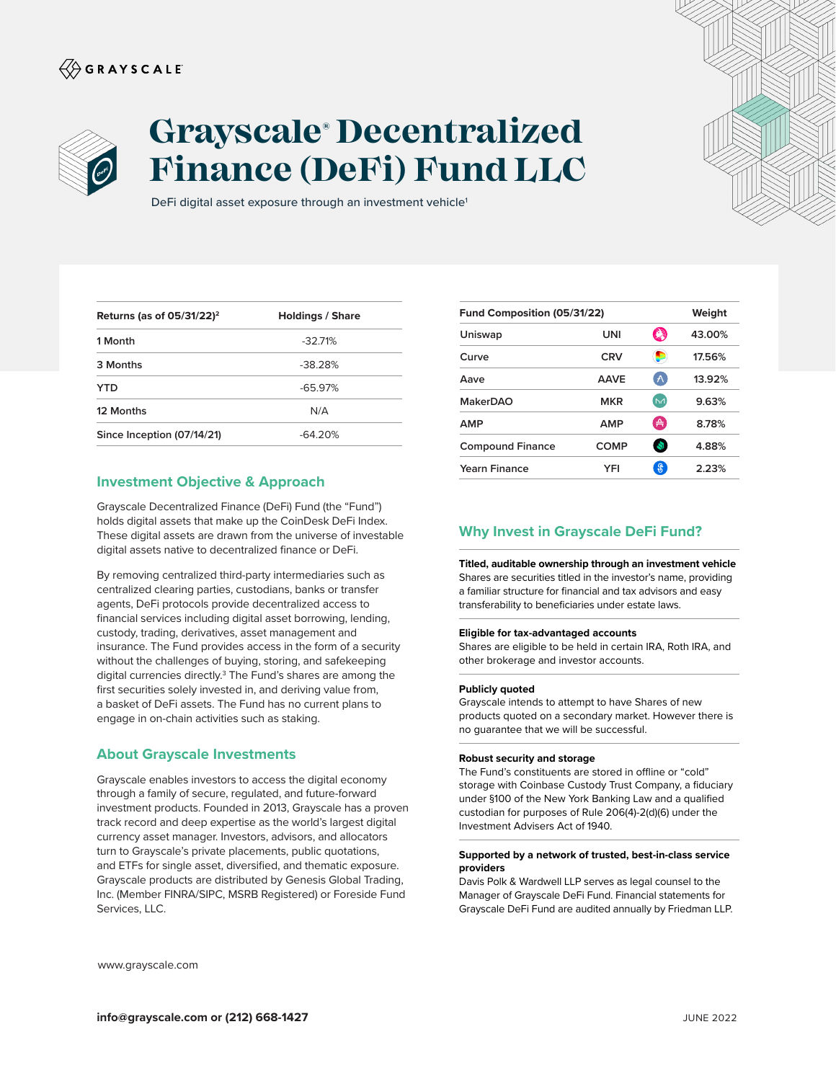# $\langle\!\!\!\langle\hat{\mathbin{\hspace{1.5pt}\circ}}$  G R A Y S C A L E



# **Grayscale® Decentralized Finance (DeFi) Fund LLC**

DeFi digital asset exposure through an investment vehicle<sup>1</sup>

| Returns (as of $05/31/22$ ) <sup>2</sup> | <b>Holdings / Share</b> |
|------------------------------------------|-------------------------|
| 1 Month                                  | $-32.71\%$              |
| 3 Months                                 | $-38.28%$               |
| YTD                                      | $-65.97%$               |
| 12 Months                                | N/A                     |
| Since Inception (07/14/21)               | $-64.20%$               |

## **Investment Objective & Approach**

Grayscale Decentralized Finance (DeFi) Fund (the "Fund") holds digital assets that make up the CoinDesk DeFi Index. These digital assets are drawn from the universe of investable digital assets native to decentralized finance or DeFi.

By removing centralized third-party intermediaries such as centralized clearing parties, custodians, banks or transfer agents, DeFi protocols provide decentralized access to financial services including digital asset borrowing, lending, custody, trading, derivatives, asset management and insurance. The Fund provides access in the form of a security without the challenges of buying, storing, and safekeeping digital currencies directly.<sup>3</sup> The Fund's shares are among the first securities solely invested in, and deriving value from, a basket of DeFi assets. The Fund has no current plans to engage in on-chain activities such as staking.

### **About Grayscale Investments**

Grayscale enables investors to access the digital economy through a family of secure, regulated, and future-forward investment products. Founded in 2013, Grayscale has a proven track record and deep expertise as the world's largest digital currency asset manager. Investors, advisors, and allocators turn to Grayscale's private placements, public quotations, and ETFs for single asset, diversified, and thematic exposure. Grayscale products are distributed by Genesis Global Trading, Inc. (Member FINRA/SIPC, MSRB Registered) or Foreside Fund Services, LLC.

| Fund Composition (05/31/22) |             |                      | Weight |
|-----------------------------|-------------|----------------------|--------|
| Uniswap                     | UNI         | 鸆                    | 43.00% |
| Curve                       | <b>CRV</b>  | œ                    | 17.56% |
| Aave                        | <b>AAVE</b> | $\wedge$             | 13.92% |
| <b>MakerDAO</b>             | <b>MKR</b>  | [NA]                 | 9.63%  |
| AMP                         | <b>AMP</b>  | $\frac{1}{\sqrt{2}}$ | 8.78%  |
| <b>Compound Finance</b>     | COMP        | S.                   | 4.88%  |
| Yearn Finance               | YFI         | $\mathcal{F}$        | 2.23%  |

# **Why Invest in Grayscale DeFi Fund?**

**Titled, auditable ownership through an investment vehicle**  Shares are securities titled in the investor's name, providing a familiar structure for financial and tax advisors and easy transferability to beneficiaries under estate laws.

#### **Eligible for tax-advantaged accounts**

Shares are eligible to be held in certain IRA, Roth IRA, and other brokerage and investor accounts.

#### **Publicly quoted**

Grayscale intends to attempt to have Shares of new products quoted on a secondary market. However there is no guarantee that we will be successful.

#### **Robust security and storage**

The Fund's constituents are stored in offline or "cold" storage with Coinbase Custody Trust Company, a fiduciary under §100 of the New York Banking Law and a qualified custodian for purposes of Rule 206(4)-2(d)(6) under the Investment Advisers Act of 1940.

#### **Supported by a network of trusted, best-in-class service providers**

Davis Polk & Wardwell LLP serves as legal counsel to the Manager of Grayscale DeFi Fund. Financial statements for Grayscale DeFi Fund are audited annually by Friedman LLP.

www.grayscale.com